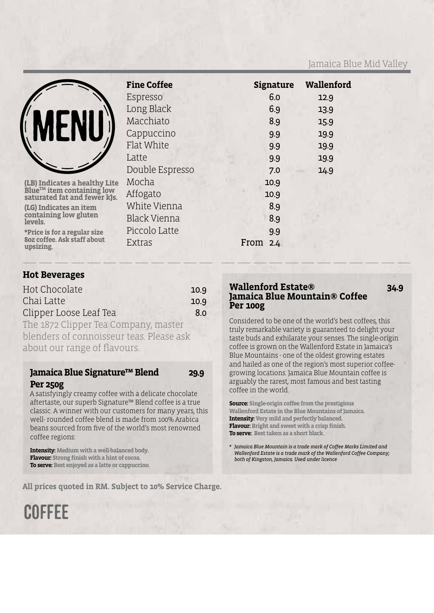#### Jamaica Blue Mid Valley



(LB) Indicates a healthy Lite<br>Blue™ item containing low<br>saturated fat and fewer kJs.

**(LG) Indicates an item containing low gluten levels.**

**\*Price is for a regular size 8oz coffee. Ask staff about upsizing.**

| <b>Fine Coffee</b> | <b>Signature</b> | Wallenford |
|--------------------|------------------|------------|
| Espresso           | 6.0              | 12.9       |
| Long Black         | 6.9              | 13.9       |
| Macchiato          | 8.9              | 15.9       |
| Cappuccino         | 9.9              | 19.9       |
| Flat White         | 9.9              | 19.9       |
| Latte              | 9.9              | 19.9       |
| Double Espresso    | 7.0              | 14.9       |
| Mocha              | 10.9             |            |
| Affogato           | 10.9             |            |
| White Vienna       | 8.9              |            |
| Black Vienna       | 8.9              |            |
| Piccolo Latte      | 9.9              |            |
| Extras             | From<br>2.4      |            |
|                    |                  |            |

#### **Hot Beverages**

| Hot Chocolate                       | 10.9 |
|-------------------------------------|------|
| Chai Latte                          | 10.9 |
| Clipper Loose Leaf Tea              | 8.0  |
| The 1870 Clinner Tea Company master |      |

The 1872 Clipper Tea Company, master blenders of connoisseur teas. Please ask about our range of flavours.

#### **Jamaica Blue Signature™ Blend 29.9 Per 250g**

A satisfyingly creamy coffee with a delicate chocolate aftertaste, our superb Signature™ Blend coffee is a true classic. A winner with our customers for many years, this well- rounded coffee blend is made from 100% Arabica beans sourced from five of the world's most renowned coffee regions:

**Intensity: Medium with a well-balanced body. Flavour: Strong finish with a hint of cocoa. To serve: Best enjoyed as a latte or cappuccino.**

**COFFFE** 

**All prices quoted in RM. Subject to 10% Service Charge.**

#### **Wallenford Estate® 34.9 Jamaica Blue Mountain® Coffee Per 100g**

Considered to be one of the world's best coffees, this truly remarkable variety is guaranteed to delight your taste buds and exhilarate your senses. The single-origin coffee is grown on the Wallenford Estate in Jamaica's Blue Mountains - one of the oldest growing estates and hailed as one of the region's most superior coffeegrowing locations. Jamaica Blue Mountain coffee is arguably the rarest, most famous and best tasting coffee in the world.

**Source: Single-origin coffee from the prestigious Wallenford Estate in the Blue Mountains of Jamaica. Intensity: Very mild and perfectly balanced. Flavour: Bright and sweet with a crisp finish. To serve: Best taken as a short black.**

*\* Jamaica Blue Mountain is a trade mark of Coffee Marks Limited and Wallenford Estate is a trade mark ofthe Wallenford Coffee Company; both of Kingston, Jamaica. Used under licence*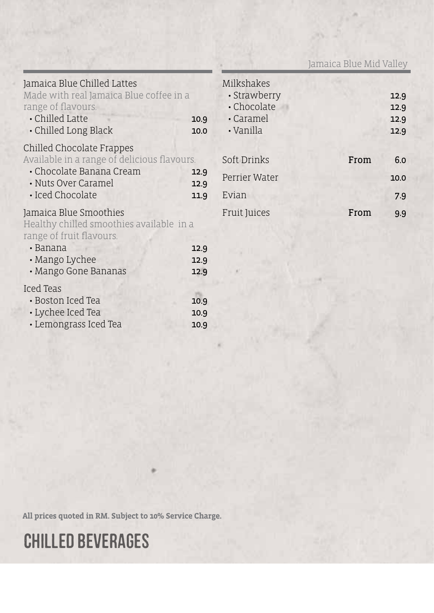Jamaica Blue Mid Valley

| Jamaica Blue Chilled Lattes<br>Made with real Jamaica Blue coffee in a<br>range of flavours.<br>$\cdot$ Chilled Latte<br>• Chilled Long Black        | 10.9<br>10.0         | Milkshake<br>• Strawb<br>• Chocola<br>· Carame<br>$\cdot$ Vanilla |
|------------------------------------------------------------------------------------------------------------------------------------------------------|----------------------|-------------------------------------------------------------------|
| Chilled Chocolate Frappes<br>Available in a range of delicious flavours.<br>• Chocolate Banana Cream<br>• Nuts Over Caramel<br>· Iced Chocolate      | 12.9<br>12.9<br>11.9 | Soft Drink<br>Perrier Wa<br>Evian                                 |
| Jamaica Blue Smoothies<br>Healthy chilled smoothies available in a<br>range of fruit flavours.<br>• Banana<br>• Mango Lychee<br>· Mango Gone Bananas | 12.9<br>12.9<br>12.9 | Fruit Juice                                                       |
| Iced Teas<br>• Boston Iced Tea<br>• Lychee Iced Tea<br>· Lemongrass Iced Tea                                                                         | 10.9<br>10.9<br>10.9 |                                                                   |

| Milkshakes          |      |      |
|---------------------|------|------|
| · Strawberry        |      | 12.9 |
| • Chocolate         |      | 12.9 |
| $\cdot$ Caramel     |      | 12.9 |
| · Vanilla           |      | 12.9 |
|                     |      |      |
| Soft Drinks         | From | 6.0  |
| Perrier Water       |      | 10.0 |
| Evian               |      | 7.9  |
| <b>Fruit Juices</b> | From | 9.9  |

**All prices quoted in RM. Subject to 10% Service Charge.**

# CHILLED BEVERAGES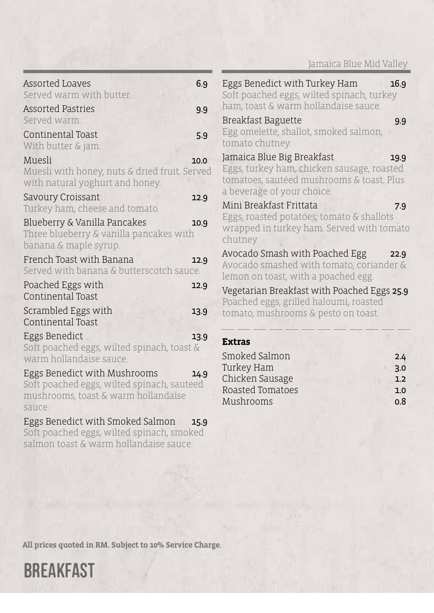|                                                                                                                             |      | Jamaica Blue Mid Valley                                                                                                                                     |
|-----------------------------------------------------------------------------------------------------------------------------|------|-------------------------------------------------------------------------------------------------------------------------------------------------------------|
| Assorted Loaves<br>Served warm with butter.<br>Assorted Pastries                                                            | 6.9  | Eggs Benedict with Turkey Ham<br>16.9<br>Soft poached eggs, wilted spinach, turkey<br>ham, toast & warm hollandaise sauce.                                  |
| Served warm.                                                                                                                | 9.9  | Breakfast Baguette<br>9.9                                                                                                                                   |
| Continental Toast<br>With butter & jam.                                                                                     | 5.9  | Egg omelette, shallot, smoked salmon,<br>tomato chutney.                                                                                                    |
| Muesli<br>Muesli with honey, nuts & dried fruit. Served<br>with natural yoghurt and honey.                                  | 10.0 | Jamaica Blue Big Breakfast<br>19.9<br>Eggs, turkey ham, chicken sausage, roasted<br>tomatoes, sautéed mushrooms & toast. Plus<br>a beverage of your choice. |
| Savoury Croissant<br>Turkey ham, cheese and tomato.                                                                         | 12.9 | Mini Breakfast Frittata<br>7.9                                                                                                                              |
| Blueberry & Vanilla Pancakes<br>Three blueberry & vanilla pancakes with<br>banana & maple syrup.                            | 10.9 | Eggs, roasted potatoes, tomato & shallots<br>wrapped in turkey ham. Served with tomato<br>chutney.                                                          |
| French Toast with Banana<br>Served with banana & butterscotch sauce.                                                        | 12.9 | Avocado Smash with Poached Egg<br>22.9<br>Avocado smashed with tomato, coriander &<br>lemon on toast, with a poached egg.                                   |
| Poached Eggs with<br>Continental Toast                                                                                      | 12.9 | Vegetarian Breakfast with Poached Eggs 25.9<br>Poached eggs, grilled haloumi, roasted                                                                       |
| Scrambled Eggs with<br>Continental Toast                                                                                    | 13.9 | tomato, mushrooms & pesto on toast.                                                                                                                         |
| Eggs Benedict<br>Soft poached eggs, wilted spinach, toast &<br>warm hollandaise sauce.                                      | 13.9 | <b>Extras</b><br>Smoked Salmon<br>2.4                                                                                                                       |
| Eggs Benedict with Mushrooms<br>Soft poached eggs, wilted spinach, sauteed<br>mushrooms, toast & warm hollandaise<br>sauce. | 14.9 | Turkey Ham<br>3.0<br>Chicken Sausage<br>1.2<br>Roasted Tomatoes<br>1.0<br>Mushrooms<br>0.8                                                                  |
| Eggs Benedict with Smoked Salmon<br>Soft poached eggs, wilted spinach, smoked<br>salmon toast & warm hollandaise sauce.     | 15.9 |                                                                                                                                                             |

**All prices quoted in RM. Subject to 10% Service Charge.**